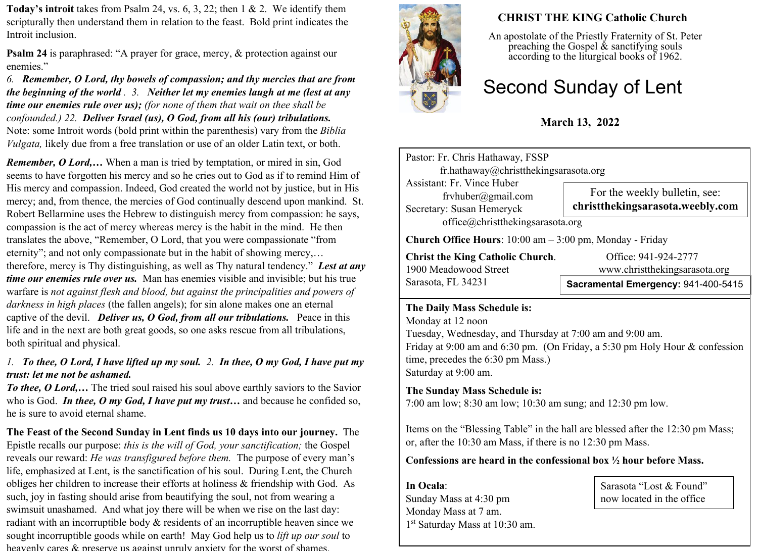**Today's introit** takes from Psalm 24, vs. 6, 3, 22; then 1 & 2. We identify them scripturally then understand them in relation to the feast. Bold print indicates the Introit inclusion.

**Psalm 24** is paraphrased: "A prayer for grace, mercy,  $\&$  protection against our enemies."

*6. Remember, O Lord, thy bowels of compassion; and thy mercies that are from the beginning of the world . 3. Neither let my enemies laugh at me (lest at any time our enemies rule over us); (for none of them that wait on thee shall be confounded.) 22. Deliver Israel (us), O God, from all his (our) tribulations.* Note: some Introit words (bold print within the parenthesis) vary from the *Biblia Vulgata*, likely due from a free translation or use of an older Latin text, or both.

*Remember, O Lord,…* When a man is tried by temptation, or mired in sin, God seems to have forgotten his mercy and so he cries out to God as if to remind Him of His mercy and compassion. Indeed, God created the world not by justice, but in His mercy; and, from thence, the mercies of God continually descend upon mankind. St. Robert Bellarmine uses the Hebrew to distinguish mercy from compassion: he says, compassion is the act of mercy whereas mercy is the habit in the mind. He then translates the above, "Remember, O Lord, that you were compassionate "from eternity"; and not only compassionate but in the habit of showing mercy,… therefore, mercy is Thy distinguishing, as well as Thy natural tendency." *Lest at any time our enemies rule over us.* Man has enemies visible and invisible; but his true warfare is *not against flesh and blood, but against the principalities and powers of darkness in high places* (the fallen angels); for sin alone makes one an eternal captive of the devil. *Deliver us, O God, from all our tribulations.* Peace in this life and in the next are both great goods, so one asks rescue from all tribulations, both spiritual and physical.

## *1. To thee, O Lord, I have lifted up my soul. 2. In thee, O my God, I have put my trust: let me not be ashamed.*

*To thee, O Lord,...* The tried soul raised his soul above earthly saviors to the Savior who is God. *In thee, O my God, I have put my trust…* and because he confided so, he is sure to avoid eternal shame.

**The Feast of the Second Sunday in Lent finds us 10 days into our journey.** The Epistle recalls our purpose: *this is the will of God, your sanctification;* the Gospel reveals our reward: *He was transfigured before them.* The purpose of every man's life, emphasized at Lent, is the sanctification of his soul. During Lent, the Church obliges her children to increase their efforts at holiness & friendship with God. As such, joy in fasting should arise from beautifying the soul, not from wearing a swimsuit unashamed. And what joy there will be when we rise on the last day: radiant with an incorruptible body & residents of an incorruptible heaven since we sought incorruptible goods while on earth! May God help us to *lift up our soul* to heavenly cares  $\&$  preserve us against unruly anxiety for the worst of shames.



# **CHRIST THE KING Catholic Church**

An apostolate of the Priestly Fraternity of St. Peter preaching the Gospel  $\&$  sanctifying souls according to the liturgical books of 1962.

# Second Sunday of Lent

# **March 13, 2022**

Pastor: Fr. Chris Hathaway, FSSP fr.hathaway@christthekingsarasota.org Assistant: Fr. Vince Huber frvhuber@gmail.com Secretary: Susan Hemeryck office@christthekingsarasota.org **Church Office Hours**: 10:00 am – 3:00 pm, Monday - Friday **Christ the King Catholic Church.** Office: 941-924-2777<br>1900 Meadowood Street www.christthekingsaras For the weekly bulletin, see: **christthekingsarasota.weebly.com**

Sarasota, FL 34231

www.christthekingsarasota.org

# **Sacramental Emergency:** 941-400-5415

#### **The Daily Mass Schedule is:**

Monday at 12 noon Tuesday, Wednesday, and Thursday at 7:00 am and 9:00 am. Friday at 9:00 am and 6:30 pm. (On Friday, a 5:30 pm Holy Hour & confession time, precedes the 6:30 pm Mass.) Saturday at 9:00 am.

## **The Sunday Mass Schedule is:**

7:00 am low; 8:30 am low; 10:30 am sung; and 12:30 pm low.

Items on the "Blessing Table" in the hall are blessed after the 12:30 pm Mass; or, after the 10:30 am Mass, if there is no 12:30 pm Mass.

#### **Confessions are heard in the confessional box ½ hour before Mass.**

**In Ocala**: Sunday Mass at 4:30 pm Monday Mass at 7 am. 1 st Saturday Mass at 10:30 am.

Sarasota "Lost & Found" now located in the office